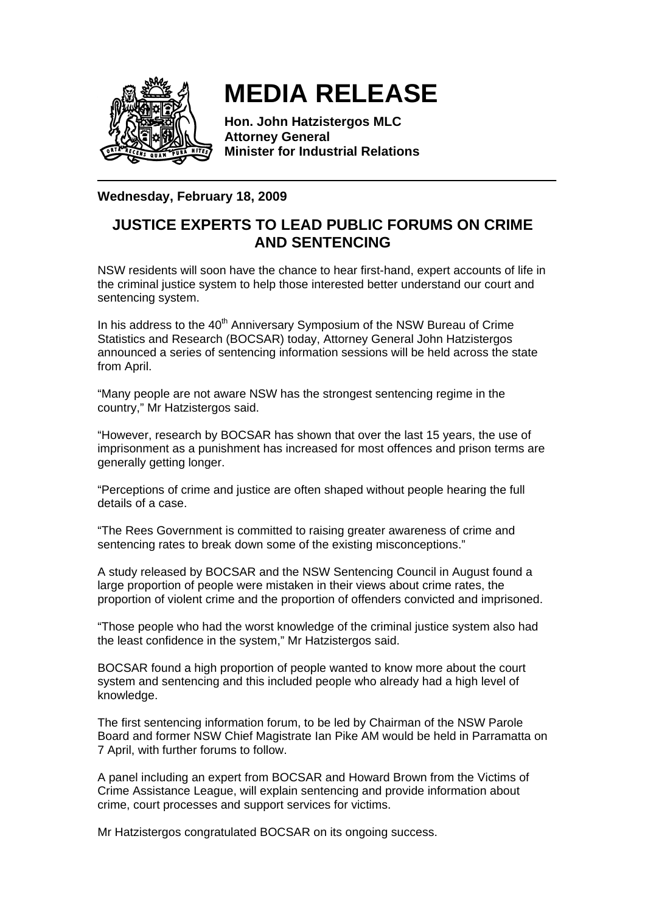

## **MEDIA RELEASE**

**Hon. John Hatzistergos MLC Attorney General Minister for Industrial Relations** 

## **Wednesday, February 18, 2009**

## **JUSTICE EXPERTS TO LEAD PUBLIC FORUMS ON CRIME AND SENTENCING**

NSW residents will soon have the chance to hear first-hand, expert accounts of life in the criminal justice system to help those interested better understand our court and sentencing system.

In his address to the 40<sup>th</sup> Anniversary Symposium of the NSW Bureau of Crime Statistics and Research (BOCSAR) today, Attorney General John Hatzistergos announced a series of sentencing information sessions will be held across the state from April.

"Many people are not aware NSW has the strongest sentencing regime in the country," Mr Hatzistergos said.

"However, research by BOCSAR has shown that over the last 15 years, the use of imprisonment as a punishment has increased for most offences and prison terms are generally getting longer.

"Perceptions of crime and justice are often shaped without people hearing the full details of a case.

"The Rees Government is committed to raising greater awareness of crime and sentencing rates to break down some of the existing misconceptions."

A study released by BOCSAR and the NSW Sentencing Council in August found a large proportion of people were mistaken in their views about crime rates, the proportion of violent crime and the proportion of offenders convicted and imprisoned.

"Those people who had the worst knowledge of the criminal justice system also had the least confidence in the system," Mr Hatzistergos said.

BOCSAR found a high proportion of people wanted to know more about the court system and sentencing and this included people who already had a high level of knowledge.

The first sentencing information forum, to be led by Chairman of the NSW Parole Board and former NSW Chief Magistrate Ian Pike AM would be held in Parramatta on 7 April, with further forums to follow.

A panel including an expert from BOCSAR and Howard Brown from the Victims of Crime Assistance League, will explain sentencing and provide information about crime, court processes and support services for victims.

Mr Hatzistergos congratulated BOCSAR on its ongoing success.